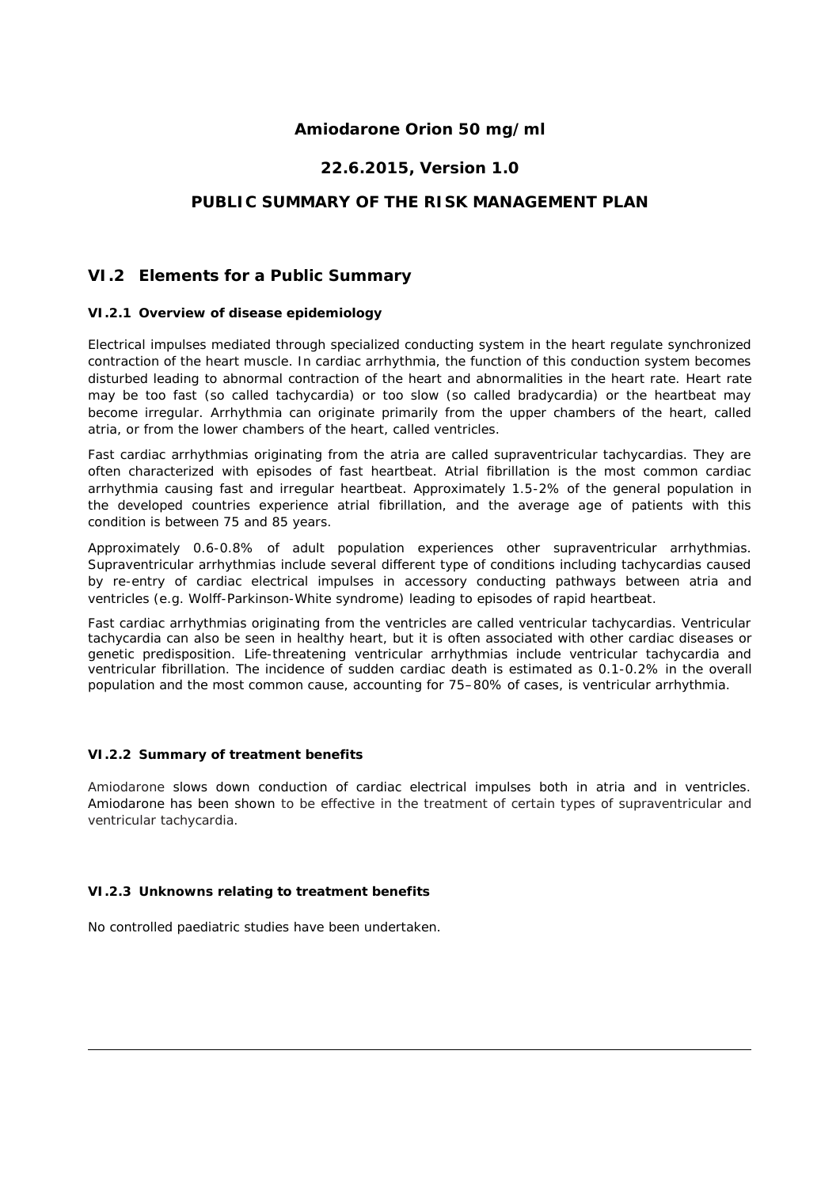## **Amiodarone Orion 50 mg/ml**

## **22.6.2015, Version 1.0**

## **PUBLIC SUMMARY OF THE RISK MANAGEMENT PLAN**

## **VI.2 Elements for a Public Summary**

#### *VI.2.1 Overview of disease epidemiology*

Electrical impulses mediated through specialized conducting system in the heart regulate synchronized contraction of the heart muscle. In cardiac arrhythmia, the function of this conduction system becomes disturbed leading to abnormal contraction of the heart and abnormalities in the heart rate. Heart rate may be too fast (so called tachycardia) or too slow (so called bradycardia) or the heartbeat may become irregular. Arrhythmia can originate primarily from the upper chambers of the heart, called atria, or from the lower chambers of the heart, called ventricles.

Fast cardiac arrhythmias originating from the atria are called supraventricular tachycardias. They are often characterized with episodes of fast heartbeat. Atrial fibrillation is the most common cardiac arrhythmia causing fast and irregular heartbeat. Approximately 1.5-2% of the general population in the developed countries experience atrial fibrillation, and the average age of patients with this condition is between 75 and 85 years.

Approximately 0.6-0.8% of adult population experiences other supraventricular arrhythmias. Supraventricular arrhythmias include several different type of conditions including tachycardias caused by re-entry of cardiac electrical impulses in accessory conducting pathways between atria and ventricles (e.g. Wolff-Parkinson-White syndrome) leading to episodes of rapid heartbeat.

Fast cardiac arrhythmias originating from the ventricles are called ventricular tachycardias. Ventricular tachycardia can also be seen in healthy heart, but it is often associated with other cardiac diseases or genetic predisposition. Life-threatening ventricular arrhythmias include ventricular tachycardia and ventricular fibrillation. The incidence of sudden cardiac death is estimated as 0.1-0.2% in the overall population and the most common cause, accounting for 75–80% of cases, is ventricular arrhythmia.

#### *VI.2.2 Summary of treatment benefits*

Amiodarone slows down conduction of cardiac electrical impulses both in atria and in ventricles. Amiodarone has been shown to be effective in the treatment of certain types of supraventricular and ventricular tachycardia.

#### *VI.2.3 Unknowns relating to treatment benefits*

No controlled paediatric studies have been undertaken.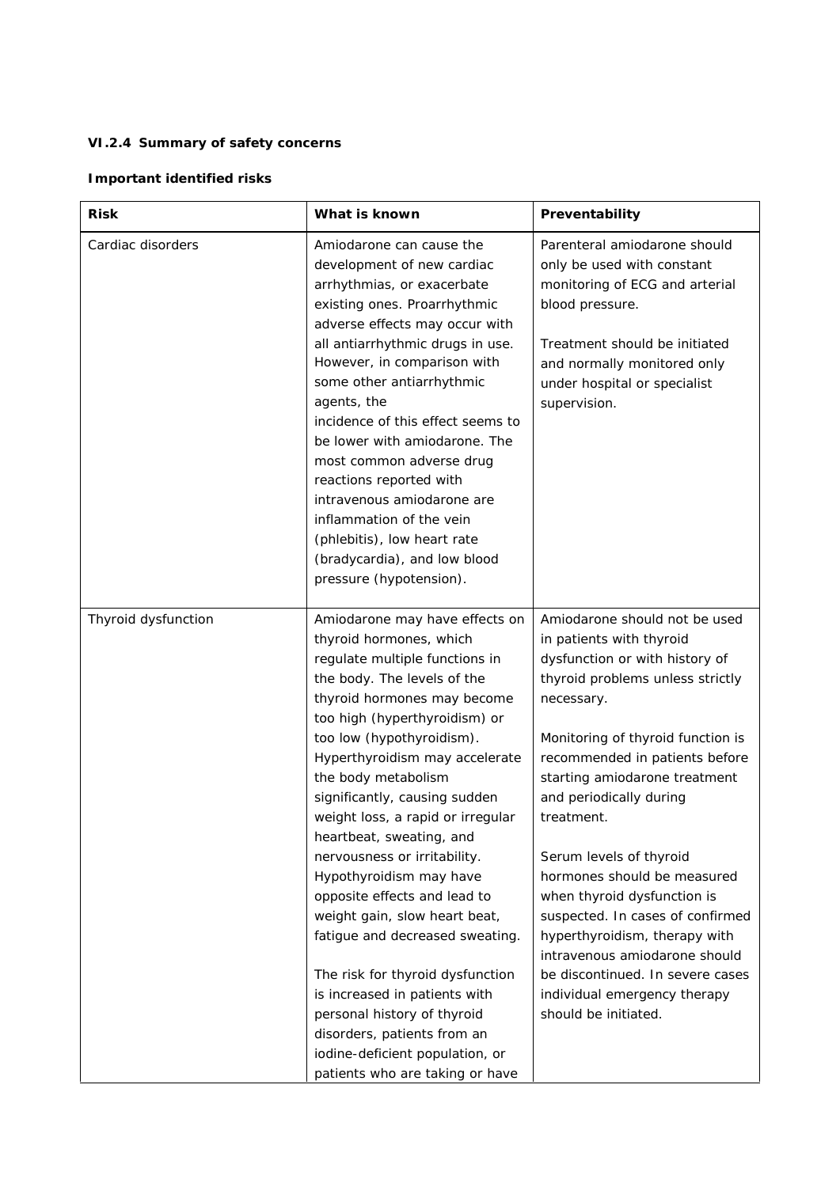# *VI.2.4 Summary of safety concerns*

# **Important identified risks**

| <b>Risk</b>         | What is known                                                                                                                                                                                                                                                                                                                                                                                                                                                                                                                                                                                                                                                                                                                                              | Preventability                                                                                                                                                                                                                                                                                                                                                                                                                                                                                                                                                                            |
|---------------------|------------------------------------------------------------------------------------------------------------------------------------------------------------------------------------------------------------------------------------------------------------------------------------------------------------------------------------------------------------------------------------------------------------------------------------------------------------------------------------------------------------------------------------------------------------------------------------------------------------------------------------------------------------------------------------------------------------------------------------------------------------|-------------------------------------------------------------------------------------------------------------------------------------------------------------------------------------------------------------------------------------------------------------------------------------------------------------------------------------------------------------------------------------------------------------------------------------------------------------------------------------------------------------------------------------------------------------------------------------------|
| Cardiac disorders   | Amiodarone can cause the<br>development of new cardiac<br>arrhythmias, or exacerbate<br>existing ones. Proarrhythmic<br>adverse effects may occur with<br>all antiarrhythmic drugs in use.<br>However, in comparison with<br>some other antiarrhythmic<br>agents, the<br>incidence of this effect seems to<br>be lower with amiodarone. The<br>most common adverse drug<br>reactions reported with<br>intravenous amiodarone are<br>inflammation of the vein<br>(phlebitis), low heart rate<br>(bradycardia), and low blood<br>pressure (hypotension).                                                                                                                                                                                                     | Parenteral amiodarone should<br>only be used with constant<br>monitoring of ECG and arterial<br>blood pressure.<br>Treatment should be initiated<br>and normally monitored only<br>under hospital or specialist<br>supervision.                                                                                                                                                                                                                                                                                                                                                           |
| Thyroid dysfunction | Amiodarone may have effects on<br>thyroid hormones, which<br>regulate multiple functions in<br>the body. The levels of the<br>thyroid hormones may become<br>too high (hyperthyroidism) or<br>too low (hypothyroidism).<br>Hyperthyroidism may accelerate<br>the body metabolism<br>significantly, causing sudden<br>weight loss, a rapid or irregular<br>heartbeat, sweating, and<br>nervousness or irritability.<br>Hypothyroidism may have<br>opposite effects and lead to<br>weight gain, slow heart beat,<br>fatigue and decreased sweating.<br>The risk for thyroid dysfunction<br>is increased in patients with<br>personal history of thyroid<br>disorders, patients from an<br>iodine-deficient population, or<br>patients who are taking or have | Amiodarone should not be used<br>in patients with thyroid<br>dysfunction or with history of<br>thyroid problems unless strictly<br>necessary.<br>Monitoring of thyroid function is<br>recommended in patients before<br>starting amiodarone treatment<br>and periodically during<br>treatment.<br>Serum levels of thyroid<br>hormones should be measured<br>when thyroid dysfunction is<br>suspected. In cases of confirmed<br>hyperthyroidism, therapy with<br>intravenous amiodarone should<br>be discontinued. In severe cases<br>individual emergency therapy<br>should be initiated. |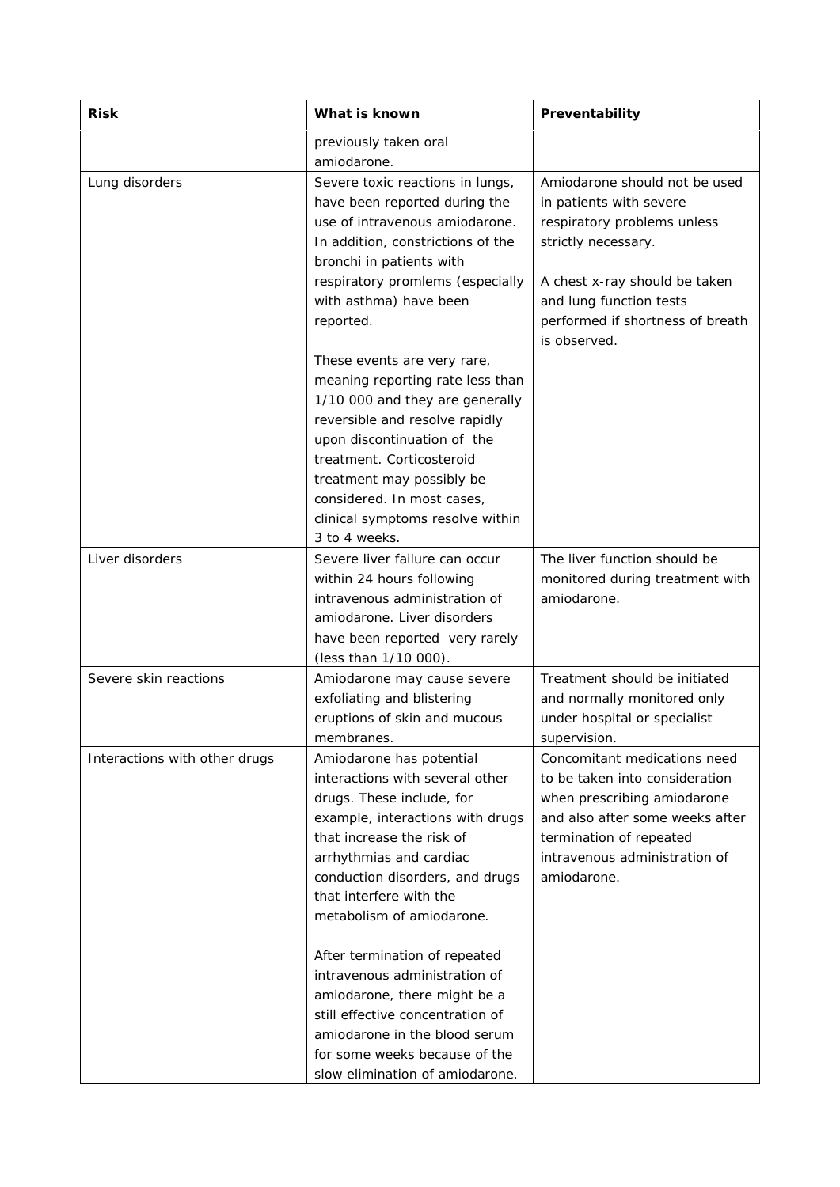| Risk                          | What is known                                                                                                                                                                                                                                                                                                                                                                                                                                                                                                                                                       | Preventability                                                                                                                                                                                                                 |
|-------------------------------|---------------------------------------------------------------------------------------------------------------------------------------------------------------------------------------------------------------------------------------------------------------------------------------------------------------------------------------------------------------------------------------------------------------------------------------------------------------------------------------------------------------------------------------------------------------------|--------------------------------------------------------------------------------------------------------------------------------------------------------------------------------------------------------------------------------|
|                               | previously taken oral<br>amiodarone.                                                                                                                                                                                                                                                                                                                                                                                                                                                                                                                                |                                                                                                                                                                                                                                |
| Lung disorders                | Severe toxic reactions in lungs,<br>have been reported during the<br>use of intravenous amiodarone.<br>In addition, constrictions of the<br>bronchi in patients with<br>respiratory promlems (especially<br>with asthma) have been<br>reported.<br>These events are very rare,<br>meaning reporting rate less than<br>1/10 000 and they are generally<br>reversible and resolve rapidly<br>upon discontinuation of the<br>treatment. Corticosteroid<br>treatment may possibly be<br>considered. In most cases,<br>clinical symptoms resolve within<br>3 to 4 weeks. | Amiodarone should not be used<br>in patients with severe<br>respiratory problems unless<br>strictly necessary.<br>A chest x-ray should be taken<br>and lung function tests<br>performed if shortness of breath<br>is observed. |
| Liver disorders               | Severe liver failure can occur<br>within 24 hours following<br>intravenous administration of<br>amiodarone. Liver disorders<br>have been reported very rarely<br>(less than 1/10 000).                                                                                                                                                                                                                                                                                                                                                                              | The liver function should be<br>monitored during treatment with<br>amiodarone.                                                                                                                                                 |
| Severe skin reactions         | Amiodarone may cause severe<br>exfoliating and blistering<br>eruptions of skin and mucous<br>membranes.                                                                                                                                                                                                                                                                                                                                                                                                                                                             | Treatment should be initiated<br>and normally monitored only<br>under hospital or specialist<br>supervision.                                                                                                                   |
| Interactions with other drugs | Amiodarone has potential<br>interactions with several other<br>drugs. These include, for<br>example, interactions with drugs<br>that increase the risk of<br>arrhythmias and cardiac<br>conduction disorders, and drugs<br>that interfere with the<br>metabolism of amiodarone.<br>After termination of repeated<br>intravenous administration of<br>amiodarone, there might be a<br>still effective concentration of<br>amiodarone in the blood serum<br>for some weeks because of the                                                                             | Concomitant medications need<br>to be taken into consideration<br>when prescribing amiodarone<br>and also after some weeks after<br>termination of repeated<br>intravenous administration of<br>amiodarone.                    |